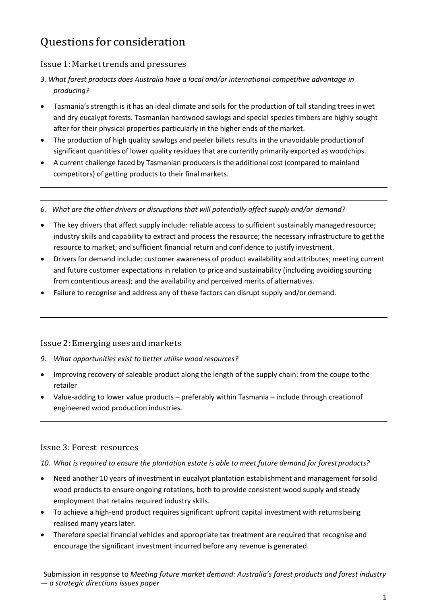# Questions for consideration

## Issue 1: Markettrends and pressures

- *3. What forest products does Australia have a local and/or international competitive advantage in producing?*
- Tasmania's strength is it has an ideal climate and soils for the production of tall standing trees inwet and dry eucalypt forests. Tasmanian hardwood sawlogs and special species timbers are highly sought after for their physical properties particularly in the higher ends of the market.
- The production of high quality sawlogs and peeler billets results in the unavoidable productionof significant quantities of lower quality residues that are currently primarily exported as woodchips.
- A current challenge faced by Tasmanian producers is the additional cost (compared to mainland competitors) of getting products to their final markets.
- *6. What are the other drivers or disruptions that will potentially affect supply and/or demand?*
- The key drivers that affect supply include: reliable access to sufficient sustainably managed resource; industry skills and capability to extract and process the resource; the necessary infrastructure to get the resource to market; and sufficient financial return and confidence to justify investment.
- Drivers for demand include: customer awareness of product availability and attributes; meeting current and future customer expectations in relation to price and sustainability (including avoiding sourcing from contentious areas); and the availability and perceived merits of alternatives.
- Failure to recognise and address any of these factors can disrupt supply and/or demand.

## Issue2:Emerginguses andmarkets

- *9. What opportunities exist to better utilise wood resources?*
- Improving recovery of saleable product along the length of the supply chain: from the coupe to the retailer
- Value-adding to lower value products preferably within Tasmania include through creationof engineered wood production industries.

### Issue 3: Forest resources

*10. What is required to ensure the plantation estate is able to meet future demand for forest products?*

- Need another 10 years of investment in eucalypt plantation establishment and management forsolid wood products to ensure ongoing rotations, both to provide consistent wood supply and steady employment that retains required industry skills.
- To achieve a high-end product requires significant upfront capital investment with returnsbeing realised many years later.
- Therefore special financial vehicles and appropriate tax treatment are required that recognise and encourage the significant investment incurred before any revenue is generated.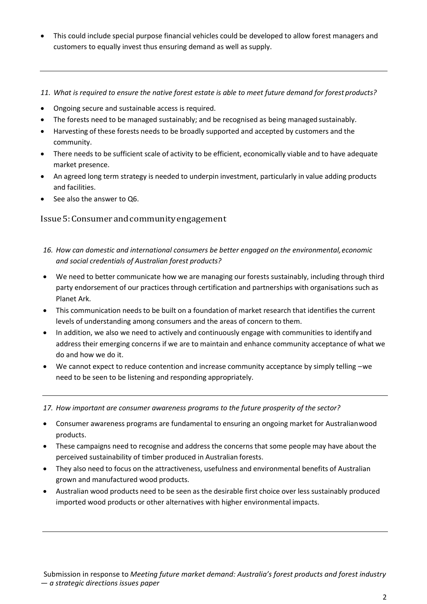- This could include special purpose financial vehicles could be developed to allow forest managers and customers to equally invest thus ensuring demand as well as supply.
- *11. What is required to ensure the native forest estate is able to meet future demand for forest products?*
- Ongoing secure and sustainable access is required.
- The forests need to be managed sustainably; and be recognised as being managed sustainably.
- Harvesting of these forests needs to be broadly supported and accepted by customers and the community.
- There needs to be sufficient scale of activity to be efficient, economically viable and to have adequate market presence.
- An agreed long term strategy is needed to underpin investment, particularly in value adding products and facilities.
- See also the answer to Q6.

#### Issue5:Consumerandcommunityengagement

- *16. How can domestic and international consumers be better engaged on the environmental,economic and social credentials of Australian forest products?*
- We need to better communicate how we are managing our forests sustainably, including through third party endorsement of our practices through certification and partnerships with organisations such as Planet Ark.
- This communication needs to be built on a foundation of market research that identifies the current levels of understanding among consumers and the areas of concern to them.
- In addition, we also we need to actively and continuously engage with communities to identify and address their emerging concerns if we are to maintain and enhance community acceptance of what we do and how we do it.
- We cannot expect to reduce contention and increase community acceptance by simply telling –we need to be seen to be listening and responding appropriately.

17. How important are consumer awareness programs to the future prosperity of the sector?

- Consumer awareness programs are fundamental to ensuring an ongoing market for Australianwood products.
- These campaigns need to recognise and address the concerns that some people may have about the perceived sustainability of timber produced in Australian forests.
- They also need to focus on the attractiveness, usefulness and environmental benefits of Australian grown and manufactured wood products.
- Australian wood products need to be seen as the desirable first choice over less sustainably produced imported wood products or other alternatives with higher environmental impacts.